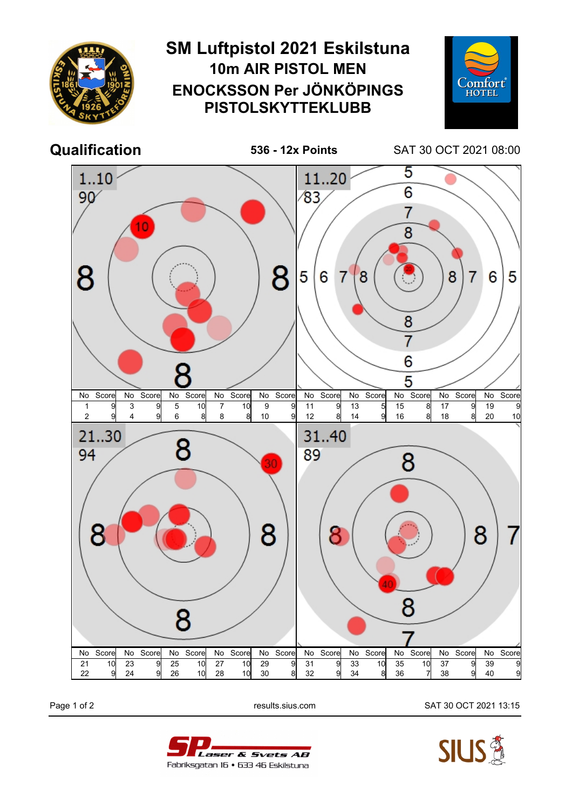

Page 1 of 2 results.sius.com SAT 30 OCT 2021 13:15